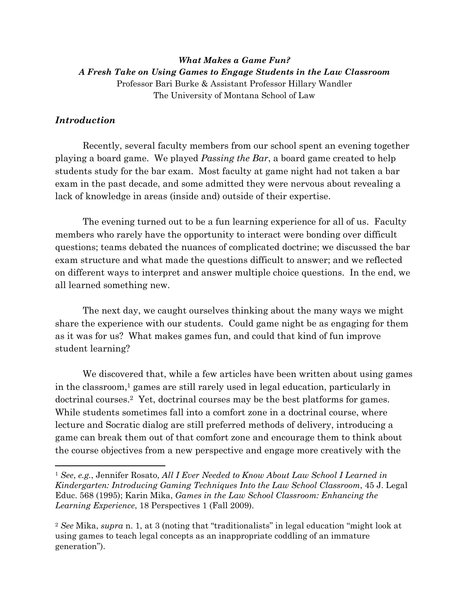*What Makes a Game Fun? A Fresh Take on Using Games to Engage Students in the Law Classroom*  Professor Bari Burke & Assistant Professor Hillary Wandler The University of Montana School of Law

## *Introduction*

Recently, several faculty members from our school spent an evening together playing a board game. We played *Passing the Bar*, a board game created to help students study for the bar exam. Most faculty at game night had not taken a bar exam in the past decade, and some admitted they were nervous about revealing a lack of knowledge in areas (inside and) outside of their expertise.

The evening turned out to be a fun learning experience for all of us. Faculty members who rarely have the opportunity to interact were bonding over difficult questions; teams debated the nuances of complicated doctrine; we discussed the bar exam structure and what made the questions difficult to answer; and we reflected on different ways to interpret and answer multiple choice questions. In the end, we all learned something new.

The next day, we caught ourselves thinking about the many ways we might share the experience with our students. Could game night be as engaging for them as it was for us? What makes games fun, and could that kind of fun improve student learning?

We discovered that, while a few articles have been written about using games in the classroom,1 games are still rarely used in legal education, particularly in doctrinal courses.2 Yet, doctrinal courses may be the best platforms for games. While students sometimes fall into a comfort zone in a doctrinal course, where lecture and Socratic dialog are still preferred methods of delivery, introducing a game can break them out of that comfort zone and encourage them to think about the course objectives from a new perspective and engage more creatively with the

<sup>1</sup> *See*, *e.g.*, Jennifer Rosato, *All I Ever Needed to Know About Law School I Learned in Kindergarten: Introducing Gaming Techniques Into the Law School Classroom*, 45 J. Legal Educ. 568 (1995); Karin Mika, *Games in the Law School Classroom: Enhancing the Learning Experience*, 18 Perspectives 1 (Fall 2009).

<sup>2</sup> *See* Mika, *supra* n. 1, at 3 (noting that "traditionalists" in legal education "might look at using games to teach legal concepts as an inappropriate coddling of an immature generation").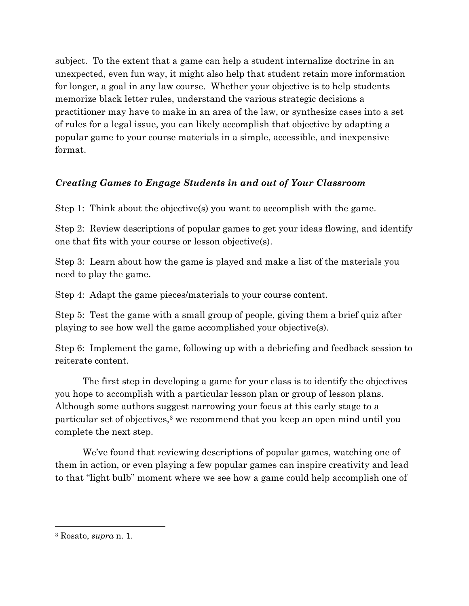subject. To the extent that a game can help a student internalize doctrine in an unexpected, even fun way, it might also help that student retain more information for longer, a goal in any law course. Whether your objective is to help students memorize black letter rules, understand the various strategic decisions a practitioner may have to make in an area of the law, or synthesize cases into a set of rules for a legal issue, you can likely accomplish that objective by adapting a popular game to your course materials in a simple, accessible, and inexpensive format.

## *Creating Games to Engage Students in and out of Your Classroom*

Step 1: Think about the objective(s) you want to accomplish with the game.

Step 2: Review descriptions of popular games to get your ideas flowing, and identify one that fits with your course or lesson objective(s).

Step 3: Learn about how the game is played and make a list of the materials you need to play the game.

Step 4: Adapt the game pieces/materials to your course content.

Step 5: Test the game with a small group of people, giving them a brief quiz after playing to see how well the game accomplished your objective(s).

Step 6: Implement the game, following up with a debriefing and feedback session to reiterate content.

 The first step in developing a game for your class is to identify the objectives you hope to accomplish with a particular lesson plan or group of lesson plans. Although some authors suggest narrowing your focus at this early stage to a particular set of objectives,3 we recommend that you keep an open mind until you complete the next step.

We've found that reviewing descriptions of popular games, watching one of them in action, or even playing a few popular games can inspire creativity and lead to that "light bulb" moment where we see how a game could help accomplish one of

<sup>3</sup> Rosato, *supra* n. 1.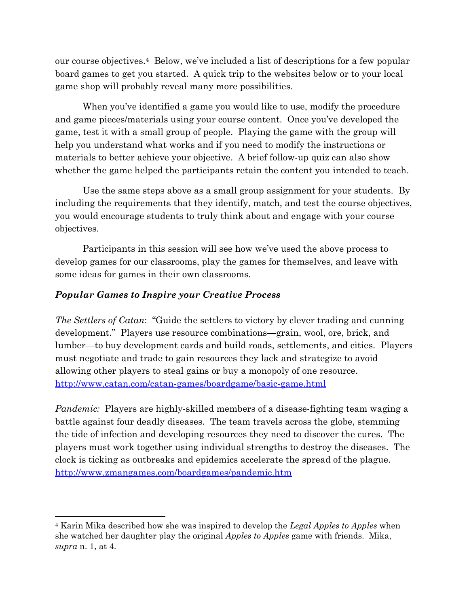our course objectives.4 Below, we've included a list of descriptions for a few popular board games to get you started. A quick trip to the websites below or to your local game shop will probably reveal many more possibilities.

When you've identified a game you would like to use, modify the procedure and game pieces/materials using your course content. Once you've developed the game, test it with a small group of people. Playing the game with the group will help you understand what works and if you need to modify the instructions or materials to better achieve your objective. A brief follow-up quiz can also show whether the game helped the participants retain the content you intended to teach.

 Use the same steps above as a small group assignment for your students. By including the requirements that they identify, match, and test the course objectives, you would encourage students to truly think about and engage with your course objectives.

 Participants in this session will see how we've used the above process to develop games for our classrooms, play the games for themselves, and leave with some ideas for games in their own classrooms.

## *Popular Games to Inspire your Creative Process*

*The Settlers of Catan*: "Guide the settlers to victory by clever trading and cunning development." Players use resource combinations—grain, wool, ore, brick, and lumber—to buy development cards and build roads, settlements, and cities. Players must negotiate and trade to gain resources they lack and strategize to avoid allowing other players to steal gains or buy a monopoly of one resource. http://www.catan.com/catan-games/boardgame/basic-game.html

*Pandemic:* Players are highly-skilled members of a disease-fighting team waging a battle against four deadly diseases. The team travels across the globe, stemming the tide of infection and developing resources they need to discover the cures. The players must work together using individual strengths to destroy the diseases. The clock is ticking as outbreaks and epidemics accelerate the spread of the plague. http://www.zmangames.com/boardgames/pandemic.htm

<sup>4</sup> Karin Mika described how she was inspired to develop the *Legal Apples to Apples* when she watched her daughter play the original *Apples to Apples* game with friends. Mika, *supra* n. 1, at 4.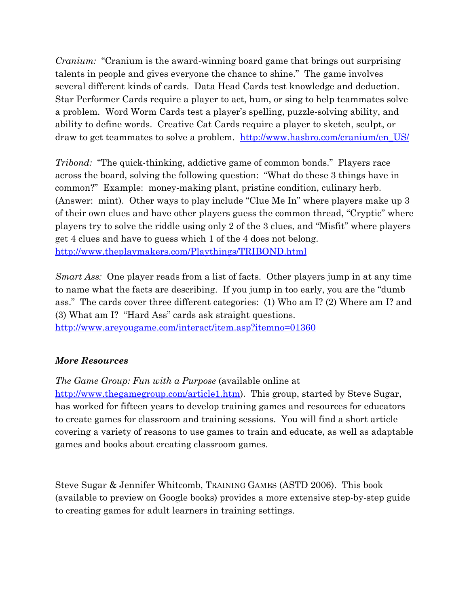*Cranium:* "Cranium is the award-winning board game that brings out surprising talents in people and gives everyone the chance to shine." The game involves several different kinds of cards. Data Head Cards test knowledge and deduction. Star Performer Cards require a player to act, hum, or sing to help teammates solve a problem. Word Worm Cards test a player's spelling, puzzle-solving ability, and ability to define words. Creative Cat Cards require a player to sketch, sculpt, or draw to get teammates to solve a problem. http://www.hasbro.com/cranium/en\_US/

*Tribond:* "The quick-thinking, addictive game of common bonds." Players race across the board, solving the following question: "What do these 3 things have in common?" Example: money-making plant, pristine condition, culinary herb. (Answer: mint). Other ways to play include "Clue Me In" where players make up 3 of their own clues and have other players guess the common thread, "Cryptic" where players try to solve the riddle using only 2 of the 3 clues, and "Misfit" where players get 4 clues and have to guess which 1 of the 4 does not belong. http://www.theplaymakers.com/Playthings/TRIBOND.html

*Smart Ass:* One player reads from a list of facts. Other players jump in at any time to name what the facts are describing. If you jump in too early, you are the "dumb ass." The cards cover three different categories: (1) Who am I? (2) Where am I? and (3) What am I? "Hard Ass" cards ask straight questions. http://www.areyougame.com/interact/item.asp?itemno=01360

## *More Resources*

*The Game Group: Fun with a Purpose* (available online at http://www.thegamegroup.com/article1.htm). This group, started by Steve Sugar, has worked for fifteen years to develop training games and resources for educators to create games for classroom and training sessions. You will find a short article covering a variety of reasons to use games to train and educate, as well as adaptable

games and books about creating classroom games.

Steve Sugar & Jennifer Whitcomb, TRAINING GAMES (ASTD 2006). This book (available to preview on Google books) provides a more extensive step-by-step guide to creating games for adult learners in training settings.